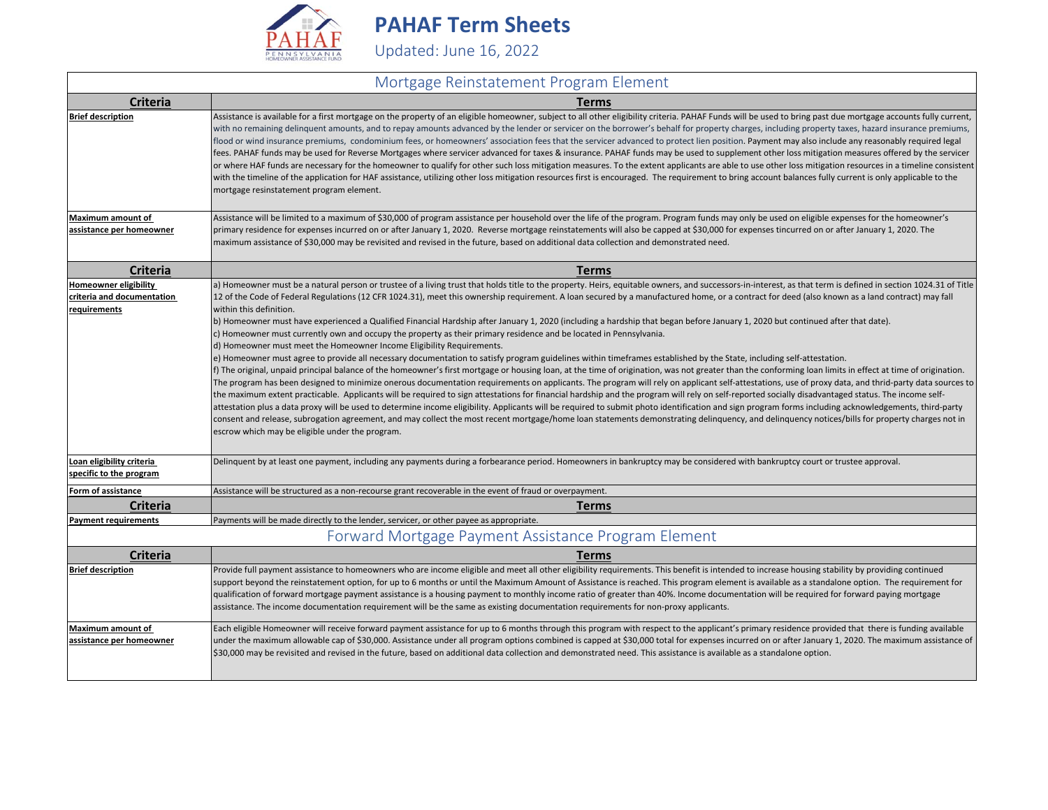

**PAHAF Term Sheets**

Updated: June 16, 2022

## Mortgage Reinstatement Program Element

| <b>Criteria</b>                                      | <b>Terms</b>                                                                                                                                                                                                                                                                                                                                                                                                                                                                                                                                                                                                                                                                                                                                                                                                                                                                                                                                                                                                                                                                                                                                                                                                                                                                                  |
|------------------------------------------------------|-----------------------------------------------------------------------------------------------------------------------------------------------------------------------------------------------------------------------------------------------------------------------------------------------------------------------------------------------------------------------------------------------------------------------------------------------------------------------------------------------------------------------------------------------------------------------------------------------------------------------------------------------------------------------------------------------------------------------------------------------------------------------------------------------------------------------------------------------------------------------------------------------------------------------------------------------------------------------------------------------------------------------------------------------------------------------------------------------------------------------------------------------------------------------------------------------------------------------------------------------------------------------------------------------|
| <b>Brief description</b>                             | Assistance is available for a first mortgage on the property of an eligible homeowner, subject to all other eligibility criteria. PAHAF Funds will be used to bring past due mortgage accounts fully current,<br>with no remaining delinquent amounts, and to repay amounts advanced by the lender or servicer on the borrower's behalf for property charges, including property taxes, hazard insurance premiums,<br>flood or wind insurance premiums, condominium fees, or homeowners' association fees that the servicer advanced to protect lien position. Payment may also include any reasonably required legal<br>fees. PAHAF funds may be used for Reverse Mortgages where servicer advanced for taxes & insurance. PAHAF funds may be used to supplement other loss mitigation measures offered by the servicer<br>or where HAF funds are necessary for the homeowner to qualify for other such loss mitigation measures. To the extent applicants are able to use other loss mitigation resources in a timeline consistent<br>with the timeline of the application for HAF assistance, utilizing other loss mitigation resources first is encouraged. The requirement to bring account balances fully current is only applicable to the<br>mortgage resinstatement program element. |
| Maximum amount of                                    | Assistance will be limited to a maximum of \$30,000 of program assistance per household over the life of the program. Program funds may only be used on eligible expenses for the homeowner's                                                                                                                                                                                                                                                                                                                                                                                                                                                                                                                                                                                                                                                                                                                                                                                                                                                                                                                                                                                                                                                                                                 |
| assistance per homeowner                             | primary residence for expenses incurred on or after January 1, 2020. Reverse mortgage reinstatements will also be capped at \$30,000 for expenses tincurred on or after January 1, 2020. The<br>maximum assistance of \$30,000 may be revisited and revised in the future, based on additional data collection and demonstrated need.                                                                                                                                                                                                                                                                                                                                                                                                                                                                                                                                                                                                                                                                                                                                                                                                                                                                                                                                                         |
| <b>Criteria</b>                                      | <b>Terms</b>                                                                                                                                                                                                                                                                                                                                                                                                                                                                                                                                                                                                                                                                                                                                                                                                                                                                                                                                                                                                                                                                                                                                                                                                                                                                                  |
| Homeowner eligibility                                | a) Homeowner must be a natural person or trustee of a living trust that holds title to the property. Heirs, equitable owners, and successors-in-interest, as that term is defined in section 1024.31 of Title                                                                                                                                                                                                                                                                                                                                                                                                                                                                                                                                                                                                                                                                                                                                                                                                                                                                                                                                                                                                                                                                                 |
| criteria and documentation<br>requirements           | 12 of the Code of Federal Regulations (12 CFR 1024.31), meet this ownership requirement. A loan secured by a manufactured home, or a contract for deed (also known as a land contract) may fall<br>within this definition.                                                                                                                                                                                                                                                                                                                                                                                                                                                                                                                                                                                                                                                                                                                                                                                                                                                                                                                                                                                                                                                                    |
|                                                      | b) Homeowner must have experienced a Qualified Financial Hardship after January 1, 2020 (including a hardship that began before January 1, 2020 but continued after that date).                                                                                                                                                                                                                                                                                                                                                                                                                                                                                                                                                                                                                                                                                                                                                                                                                                                                                                                                                                                                                                                                                                               |
|                                                      | c) Homeowner must currently own and occupy the property as their primary residence and be located in Pennsylvania.                                                                                                                                                                                                                                                                                                                                                                                                                                                                                                                                                                                                                                                                                                                                                                                                                                                                                                                                                                                                                                                                                                                                                                            |
|                                                      | d) Homeowner must meet the Homeowner Income Eligibility Requirements.                                                                                                                                                                                                                                                                                                                                                                                                                                                                                                                                                                                                                                                                                                                                                                                                                                                                                                                                                                                                                                                                                                                                                                                                                         |
|                                                      | e) Homeowner must agree to provide all necessary documentation to satisfy program guidelines within timeframes established by the State, including self-attestation.<br>f) The original, unpaid principal balance of the homeowner's first mortgage or housing loan, at the time of origination, was not greater than the conforming loan limits in effect at time of origination.                                                                                                                                                                                                                                                                                                                                                                                                                                                                                                                                                                                                                                                                                                                                                                                                                                                                                                            |
|                                                      | The program has been designed to minimize onerous documentation requirements on applicants. The program will rely on applicant self-attestations, use of proxy data, and thrid-party data sources to<br>the maximum extent practicable. Applicants will be required to sign attestations for financial hardship and the program will rely on self-reported socially disadvantaged status. The income self-<br>attestation plus a data proxy will be used to determine income eligibility. Applicants will be required to submit photo identification and sign program forms including acknowledgements, third-party<br>consent and release, subrogation agreement, and may collect the most recent mortgage/home loan statements demonstrating delinquency, and delinquency notices/bills for property charges not in<br>escrow which may be eligible under the program.                                                                                                                                                                                                                                                                                                                                                                                                                      |
| Loan eligibility criteria<br>specific to the program | Delinquent by at least one payment, including any payments during a forbearance period. Homeowners in bankruptcy may be considered with bankruptcy court or trustee approval.                                                                                                                                                                                                                                                                                                                                                                                                                                                                                                                                                                                                                                                                                                                                                                                                                                                                                                                                                                                                                                                                                                                 |
| Form of assistance                                   | Assistance will be structured as a non-recourse grant recoverable in the event of fraud or overpayment.                                                                                                                                                                                                                                                                                                                                                                                                                                                                                                                                                                                                                                                                                                                                                                                                                                                                                                                                                                                                                                                                                                                                                                                       |
| <b>Criteria</b>                                      | Terms                                                                                                                                                                                                                                                                                                                                                                                                                                                                                                                                                                                                                                                                                                                                                                                                                                                                                                                                                                                                                                                                                                                                                                                                                                                                                         |
| <b>Payment requirements</b>                          | Payments will be made directly to the lender, servicer, or other payee as appropriate.                                                                                                                                                                                                                                                                                                                                                                                                                                                                                                                                                                                                                                                                                                                                                                                                                                                                                                                                                                                                                                                                                                                                                                                                        |
|                                                      | Forward Mortgage Payment Assistance Program Element                                                                                                                                                                                                                                                                                                                                                                                                                                                                                                                                                                                                                                                                                                                                                                                                                                                                                                                                                                                                                                                                                                                                                                                                                                           |
| <b>Criteria</b>                                      | <b>Terms</b>                                                                                                                                                                                                                                                                                                                                                                                                                                                                                                                                                                                                                                                                                                                                                                                                                                                                                                                                                                                                                                                                                                                                                                                                                                                                                  |
| <b>Brief description</b>                             | Provide full payment assistance to homeowners who are income eligible and meet all other eligibility requirements. This benefit is intended to increase housing stability by providing continued<br>support beyond the reinstatement option, for up to 6 months or until the Maximum Amount of Assistance is reached. This program element is available as a standalone option. The requirement for<br>qualification of forward mortgage payment assistance is a housing payment to monthly income ratio of greater than 40%. Income documentation will be required for forward paying mortgage<br>assistance. The income documentation requirement will be the same as existing documentation requirements for non-proxy applicants.                                                                                                                                                                                                                                                                                                                                                                                                                                                                                                                                                         |
| Maximum amount of                                    | Each eligible Homeowner will receive forward payment assistance for up to 6 months through this program with respect to the applicant's primary residence provided that there is funding available                                                                                                                                                                                                                                                                                                                                                                                                                                                                                                                                                                                                                                                                                                                                                                                                                                                                                                                                                                                                                                                                                            |
| assistance per homeowner                             | under the maximum allowable cap of \$30,000. Assistance under all program options combined is capped at \$30,000 total for expenses incurred on or after January 1, 2020. The maximum assistance of<br>\$30,000 may be revisited and revised in the future, based on additional data collection and demonstrated need. This assistance is available as a standalone option.                                                                                                                                                                                                                                                                                                                                                                                                                                                                                                                                                                                                                                                                                                                                                                                                                                                                                                                   |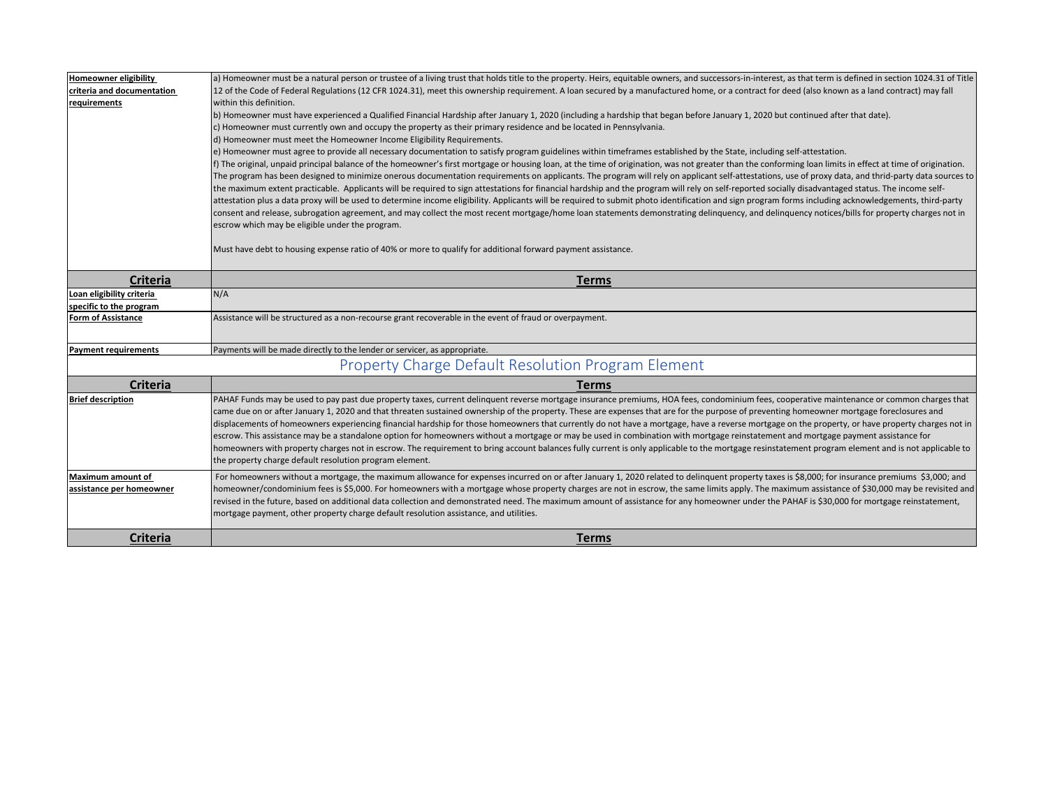| <b>Homeowner eligibility</b> | a) Homeowner must be a natural person or trustee of a living trust that holds title to the property. Heirs, equitable owners, and successors-in-interest, as that term is defined in section 1024.31 of Title                                                                                                                                                                                                                                                                                                                                                                                                                                                                                                                                                                                                                                                                                                                                                                                                                                                                          |
|------------------------------|----------------------------------------------------------------------------------------------------------------------------------------------------------------------------------------------------------------------------------------------------------------------------------------------------------------------------------------------------------------------------------------------------------------------------------------------------------------------------------------------------------------------------------------------------------------------------------------------------------------------------------------------------------------------------------------------------------------------------------------------------------------------------------------------------------------------------------------------------------------------------------------------------------------------------------------------------------------------------------------------------------------------------------------------------------------------------------------|
| criteria and documentation   | 12 of the Code of Federal Regulations (12 CFR 1024.31), meet this ownership requirement. A loan secured by a manufactured home, or a contract for deed (also known as a land contract) may fall                                                                                                                                                                                                                                                                                                                                                                                                                                                                                                                                                                                                                                                                                                                                                                                                                                                                                        |
| requirements                 | within this definition.                                                                                                                                                                                                                                                                                                                                                                                                                                                                                                                                                                                                                                                                                                                                                                                                                                                                                                                                                                                                                                                                |
|                              | b) Homeowner must have experienced a Qualified Financial Hardship after January 1, 2020 (including a hardship that began before January 1, 2020 but continued after that date).                                                                                                                                                                                                                                                                                                                                                                                                                                                                                                                                                                                                                                                                                                                                                                                                                                                                                                        |
|                              | c) Homeowner must currently own and occupy the property as their primary residence and be located in Pennsylvania.                                                                                                                                                                                                                                                                                                                                                                                                                                                                                                                                                                                                                                                                                                                                                                                                                                                                                                                                                                     |
|                              | d) Homeowner must meet the Homeowner Income Eligibility Requirements.                                                                                                                                                                                                                                                                                                                                                                                                                                                                                                                                                                                                                                                                                                                                                                                                                                                                                                                                                                                                                  |
|                              | e) Homeowner must agree to provide all necessary documentation to satisfy program guidelines within timeframes established by the State, including self-attestation.                                                                                                                                                                                                                                                                                                                                                                                                                                                                                                                                                                                                                                                                                                                                                                                                                                                                                                                   |
|                              | f) The original, unpaid principal balance of the homeowner's first mortgage or housing loan, at the time of origination, was not greater than the conforming loan limits in effect at time of origination.<br>The program has been designed to minimize onerous documentation requirements on applicants. The program will rely on applicant self-attestations, use of proxy data, and thrid-party data sources to<br>the maximum extent practicable. Applicants will be required to sign attestations for financial hardship and the program will rely on self-reported socially disadvantaged status. The income self-<br>attestation plus a data proxy will be used to determine income eligibility. Applicants will be required to submit photo identification and sign program forms including acknowledgements, third-party<br>consent and release, subrogation agreement, and may collect the most recent mortgage/home loan statements demonstrating delinquency, and delinquency notices/bills for property charges not in<br>escrow which may be eligible under the program. |
|                              | Must have debt to housing expense ratio of 40% or more to qualify for additional forward payment assistance.                                                                                                                                                                                                                                                                                                                                                                                                                                                                                                                                                                                                                                                                                                                                                                                                                                                                                                                                                                           |
| <b>Criteria</b>              | <b>Terms</b>                                                                                                                                                                                                                                                                                                                                                                                                                                                                                                                                                                                                                                                                                                                                                                                                                                                                                                                                                                                                                                                                           |
| Loan eligibility criteria    | N/A                                                                                                                                                                                                                                                                                                                                                                                                                                                                                                                                                                                                                                                                                                                                                                                                                                                                                                                                                                                                                                                                                    |
| specific to the program      |                                                                                                                                                                                                                                                                                                                                                                                                                                                                                                                                                                                                                                                                                                                                                                                                                                                                                                                                                                                                                                                                                        |
| Form of Assistance           | Assistance will be structured as a non-recourse grant recoverable in the event of fraud or overpayment.                                                                                                                                                                                                                                                                                                                                                                                                                                                                                                                                                                                                                                                                                                                                                                                                                                                                                                                                                                                |
| <b>Payment requirements</b>  | Payments will be made directly to the lender or servicer, as appropriate.                                                                                                                                                                                                                                                                                                                                                                                                                                                                                                                                                                                                                                                                                                                                                                                                                                                                                                                                                                                                              |
|                              | Property Charge Default Resolution Program Element                                                                                                                                                                                                                                                                                                                                                                                                                                                                                                                                                                                                                                                                                                                                                                                                                                                                                                                                                                                                                                     |
| <b>Criteria</b>              | <b>Terms</b>                                                                                                                                                                                                                                                                                                                                                                                                                                                                                                                                                                                                                                                                                                                                                                                                                                                                                                                                                                                                                                                                           |
| <b>Brief description</b>     | PAHAF Funds may be used to pay past due property taxes, current delinquent reverse mortgage insurance premiums, HOA fees, condominium fees, cooperative maintenance or common charges that<br>came due on or after January 1, 2020 and that threaten sustained ownership of the property. These are expenses that are for the purpose of preventing homeowner mortgage foreclosures and<br>displacements of homeowners experiencing financial hardship for those homeowners that currently do not have a mortgage, have a reverse mortgage on the property, or have property charges not in<br>escrow. This assistance may be a standalone option for homeowners without a mortgage or may be used in combination with mortgage reinstatement and mortgage payment assistance for<br>homeowners with property charges not in escrow. The requirement to bring account balances fully current is only applicable to the mortgage resinstatement program element and is not applicable to<br>the property charge default resolution program element.                                     |
| <b>Maximum amount of</b>     | For homeowners without a mortgage, the maximum allowance for expenses incurred on or after January 1, 2020 related to delinquent property taxes is \$8,000; for insurance premiums \$3,000; and                                                                                                                                                                                                                                                                                                                                                                                                                                                                                                                                                                                                                                                                                                                                                                                                                                                                                        |
| assistance per homeowner     | homeowner/condominium fees is \$5,000. For homeowners with a mortgage whose property charges are not in escrow, the same limits apply. The maximum assistance of \$30,000 may be revisited and<br>revised in the future, based on additional data collection and demonstrated need. The maximum amount of assistance for any homeowner under the PAHAF is \$30,000 for mortgage reinstatement,<br>mortgage payment, other property charge default resolution assistance, and utilities.                                                                                                                                                                                                                                                                                                                                                                                                                                                                                                                                                                                                |
| <b>Criteria</b>              | <b>Terms</b>                                                                                                                                                                                                                                                                                                                                                                                                                                                                                                                                                                                                                                                                                                                                                                                                                                                                                                                                                                                                                                                                           |